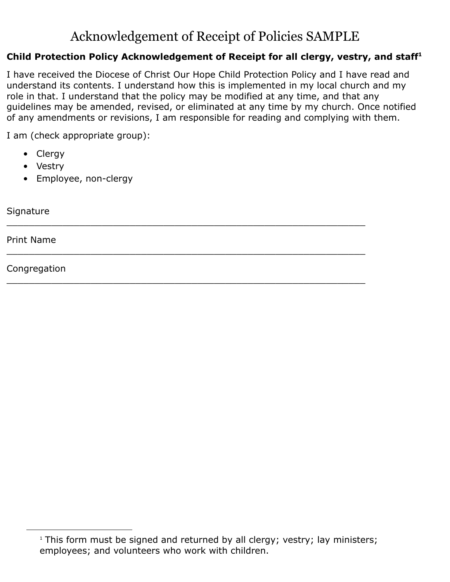## Acknowledgement of Receipt of Policies SAMPLE

## **Child Protection Policy Acknowledgement of Receipt for all clergy, vestry, and staff<sup>1</sup>**

I have received the Diocese of Christ Our Hope Child Protection Policy and I have read and understand its contents. I understand how this is implemented in my local church and my role in that. I understand that the policy may be modified at any time, and that any guidelines may be amended, revised, or eliminated at any time by my church. Once notified of any amendments or revisions, I am responsible for reading and complying with them.

\_\_\_\_\_\_\_\_\_\_\_\_\_\_\_\_\_\_\_\_\_\_\_\_\_\_\_\_\_\_\_\_\_\_\_\_\_\_\_\_\_\_\_\_\_\_\_\_\_\_\_\_\_\_\_\_\_\_\_\_\_\_\_\_

\_\_\_\_\_\_\_\_\_\_\_\_\_\_\_\_\_\_\_\_\_\_\_\_\_\_\_\_\_\_\_\_\_\_\_\_\_\_\_\_\_\_\_\_\_\_\_\_\_\_\_\_\_\_\_\_\_\_\_\_\_\_\_\_

I am (check appropriate group):

- Clergy
- Vestry
- Employee, non-clergy

**Signature** \_\_\_\_\_\_\_\_\_\_\_\_\_\_\_\_\_\_\_\_\_\_\_\_\_\_\_\_\_\_\_\_\_\_\_\_\_\_\_\_\_\_\_\_\_\_\_\_\_\_\_\_\_\_\_\_\_\_\_\_\_\_\_\_

Print Name

Congregation

<sup>&</sup>lt;sup>1</sup> This form must be signed and returned by all clergy; vestry; lay ministers; employees; and volunteers who work with children.